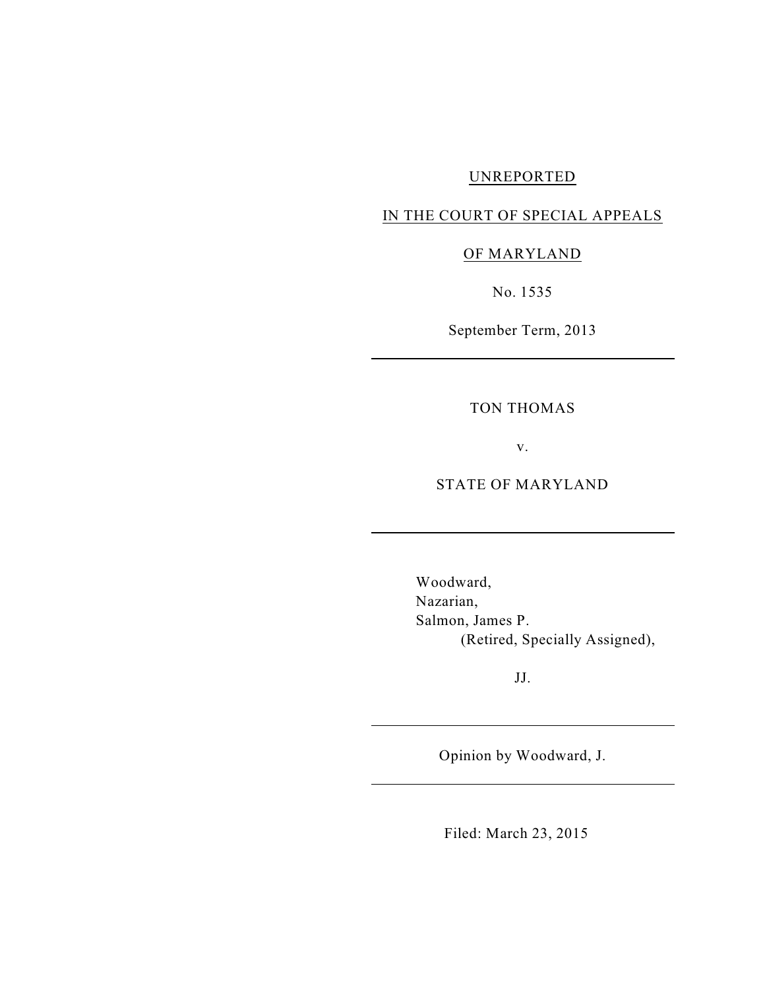## UNREPORTED

# IN THE COURT OF SPECIAL APPEALS

## OF MARYLAND

No. 1535

September Term, 2013

TON THOMAS

v.

STATE OF MARYLAND

Woodward, Nazarian, Salmon, James P. (Retired, Specially Assigned),

JJ.

Opinion by Woodward, J.

Filed: March 23, 2015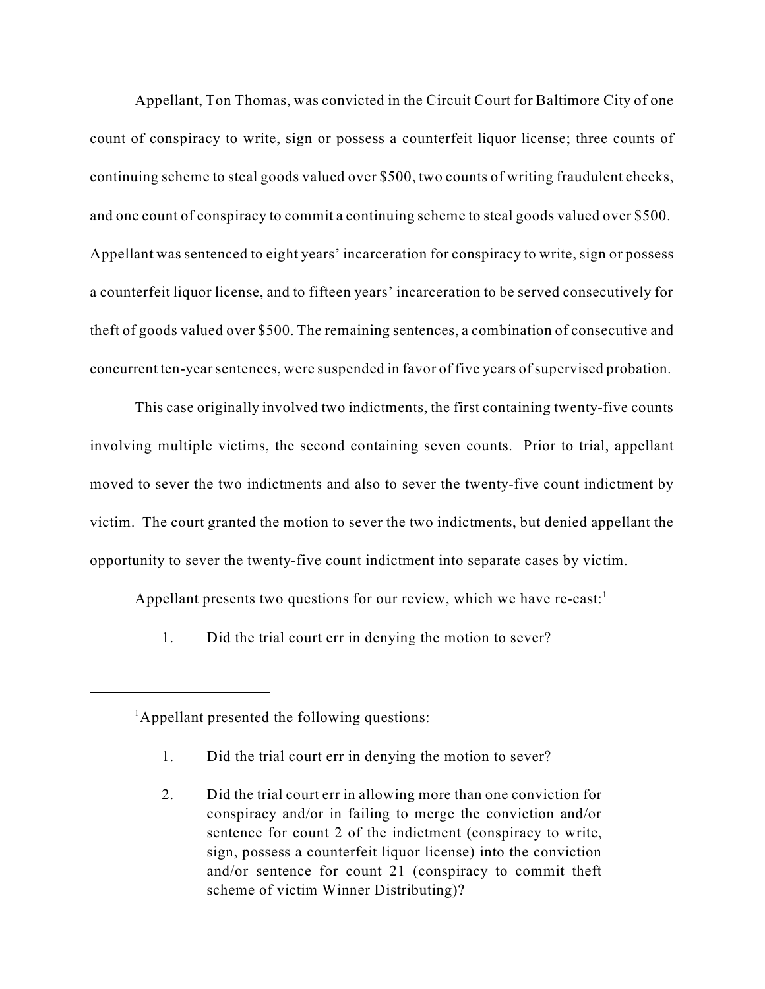Appellant, Ton Thomas, was convicted in the Circuit Court for Baltimore City of one count of conspiracy to write, sign or possess a counterfeit liquor license; three counts of continuing scheme to steal goods valued over \$500, two counts of writing fraudulent checks, and one count of conspiracy to commit a continuing scheme to steal goods valued over \$500. Appellant was sentenced to eight years' incarceration for conspiracy to write, sign or possess a counterfeit liquor license, and to fifteen years' incarceration to be served consecutively for theft of goods valued over \$500. The remaining sentences, a combination of consecutive and concurrent ten-yearsentences, were suspended in favor of five years of supervised probation.

This case originally involved two indictments, the first containing twenty-five counts involving multiple victims, the second containing seven counts. Prior to trial, appellant moved to sever the two indictments and also to sever the twenty-five count indictment by victim. The court granted the motion to sever the two indictments, but denied appellant the opportunity to sever the twenty-five count indictment into separate cases by victim.

Appellant presents two questions for our review, which we have re-cast:<sup>1</sup>

1. Did the trial court err in denying the motion to sever?

- 1. Did the trial court err in denying the motion to sever?
- 2. Did the trial court err in allowing more than one conviction for conspiracy and/or in failing to merge the conviction and/or sentence for count 2 of the indictment (conspiracy to write, sign, possess a counterfeit liquor license) into the conviction and/or sentence for count 21 (conspiracy to commit theft scheme of victim Winner Distributing)?

 ${}^{1}$ Appellant presented the following questions: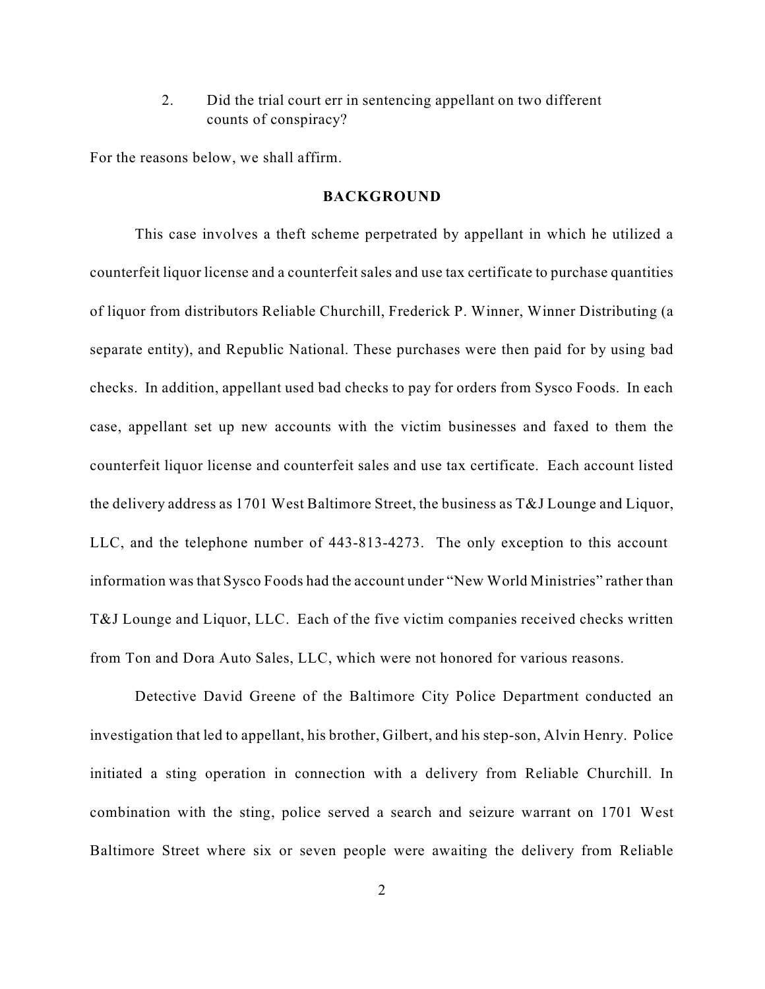2. Did the trial court err in sentencing appellant on two different counts of conspiracy?

For the reasons below, we shall affirm.

#### **BACKGROUND**

This case involves a theft scheme perpetrated by appellant in which he utilized a counterfeit liquor license and a counterfeit sales and use tax certificate to purchase quantities of liquor from distributors Reliable Churchill, Frederick P. Winner, Winner Distributing (a separate entity), and Republic National. These purchases were then paid for by using bad checks. In addition, appellant used bad checks to pay for orders from Sysco Foods. In each case, appellant set up new accounts with the victim businesses and faxed to them the counterfeit liquor license and counterfeit sales and use tax certificate. Each account listed the delivery address as 1701 West Baltimore Street, the business as T&J Lounge and Liquor, LLC, and the telephone number of 443-813-4273. The only exception to this account information was that Sysco Foods had the account under "New World Ministries" rather than T&J Lounge and Liquor, LLC. Each of the five victim companies received checks written from Ton and Dora Auto Sales, LLC, which were not honored for various reasons.

Detective David Greene of the Baltimore City Police Department conducted an investigation that led to appellant, his brother, Gilbert, and his step-son, Alvin Henry. Police initiated a sting operation in connection with a delivery from Reliable Churchill. In combination with the sting, police served a search and seizure warrant on 1701 West Baltimore Street where six or seven people were awaiting the delivery from Reliable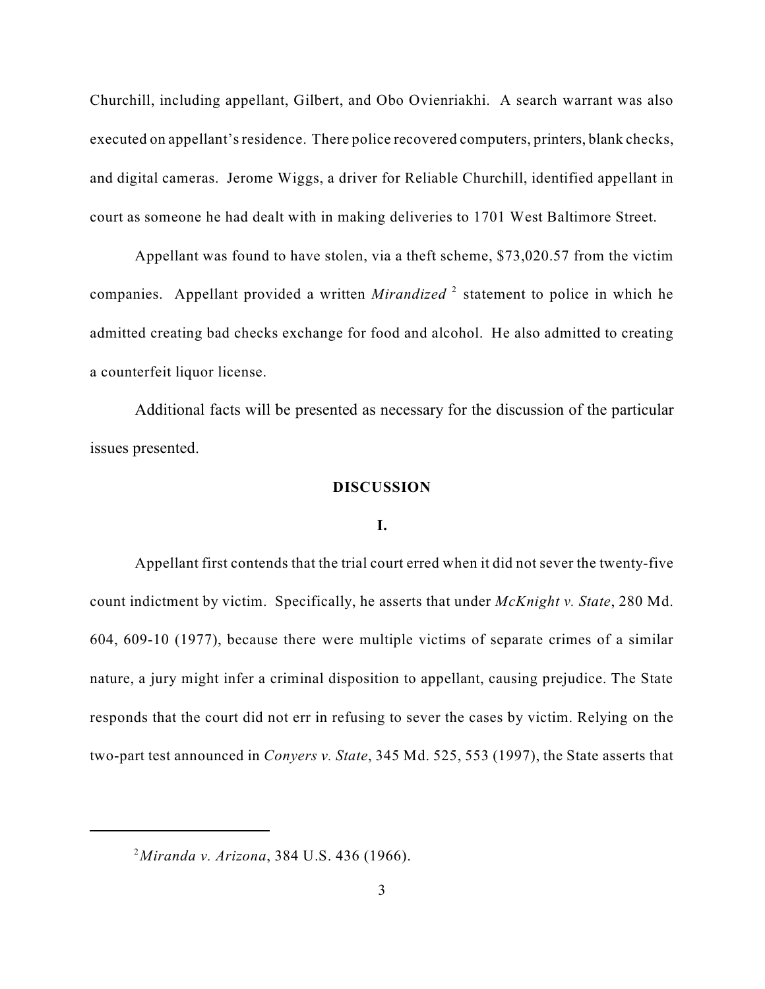Churchill, including appellant, Gilbert, and Obo Ovienriakhi. A search warrant was also executed on appellant'sresidence. There police recovered computers, printers, blank checks, and digital cameras. Jerome Wiggs, a driver for Reliable Churchill, identified appellant in court as someone he had dealt with in making deliveries to 1701 West Baltimore Street.

Appellant was found to have stolen, via a theft scheme, \$73,020.57 from the victim companies. Appellant provided a written *Mirandized* <sup>2</sup> statement to police in which he admitted creating bad checks exchange for food and alcohol. He also admitted to creating a counterfeit liquor license.

Additional facts will be presented as necessary for the discussion of the particular issues presented.

#### **DISCUSSION**

### **I.**

Appellant first contends that the trial court erred when it did not sever the twenty-five count indictment by victim. Specifically, he asserts that under *McKnight v. State*, 280 Md. 604, 609-10 (1977), because there were multiple victims of separate crimes of a similar nature, a jury might infer a criminal disposition to appellant, causing prejudice. The State responds that the court did not err in refusing to sever the cases by victim. Relying on the two-part test announced in *Conyers v. State*, 345 Md. 525, 553 (1997), the State asserts that

*Miranda v. Arizona*, 384 U.S. 436 (1966). 2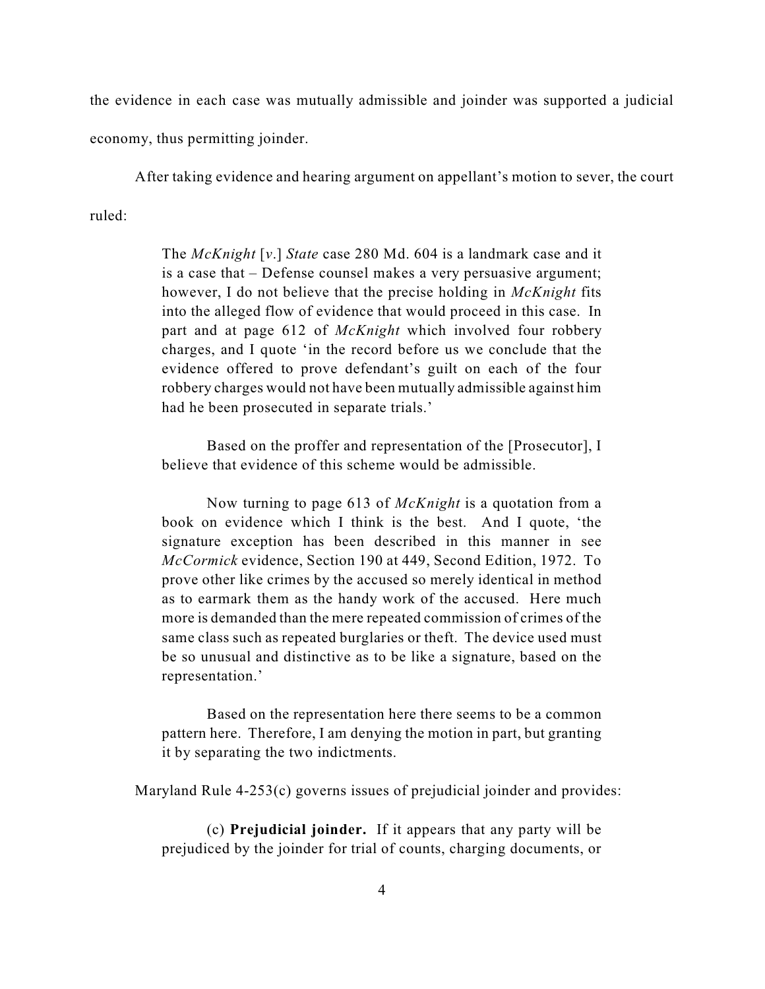the evidence in each case was mutually admissible and joinder was supported a judicial economy, thus permitting joinder.

After taking evidence and hearing argument on appellant's motion to sever, the court

ruled:

The *McKnight* [*v*.] *State* case 280 Md. 604 is a landmark case and it is a case that – Defense counsel makes a very persuasive argument; however, I do not believe that the precise holding in *McKnight* fits into the alleged flow of evidence that would proceed in this case. In part and at page 612 of *McKnight* which involved four robbery charges, and I quote 'in the record before us we conclude that the evidence offered to prove defendant's guilt on each of the four robbery charges would not have been mutually admissible against him had he been prosecuted in separate trials.'

Based on the proffer and representation of the [Prosecutor], I believe that evidence of this scheme would be admissible.

Now turning to page 613 of *McKnight* is a quotation from a book on evidence which I think is the best. And I quote, 'the signature exception has been described in this manner in see *McCormick* evidence, Section 190 at 449, Second Edition, 1972. To prove other like crimes by the accused so merely identical in method as to earmark them as the handy work of the accused. Here much more is demanded than the mere repeated commission of crimes of the same class such as repeated burglaries or theft. The device used must be so unusual and distinctive as to be like a signature, based on the representation.'

Based on the representation here there seems to be a common pattern here. Therefore, I am denying the motion in part, but granting it by separating the two indictments.

Maryland Rule 4-253(c) governs issues of prejudicial joinder and provides:

(c) **Prejudicial joinder.** If it appears that any party will be prejudiced by the joinder for trial of counts, charging documents, or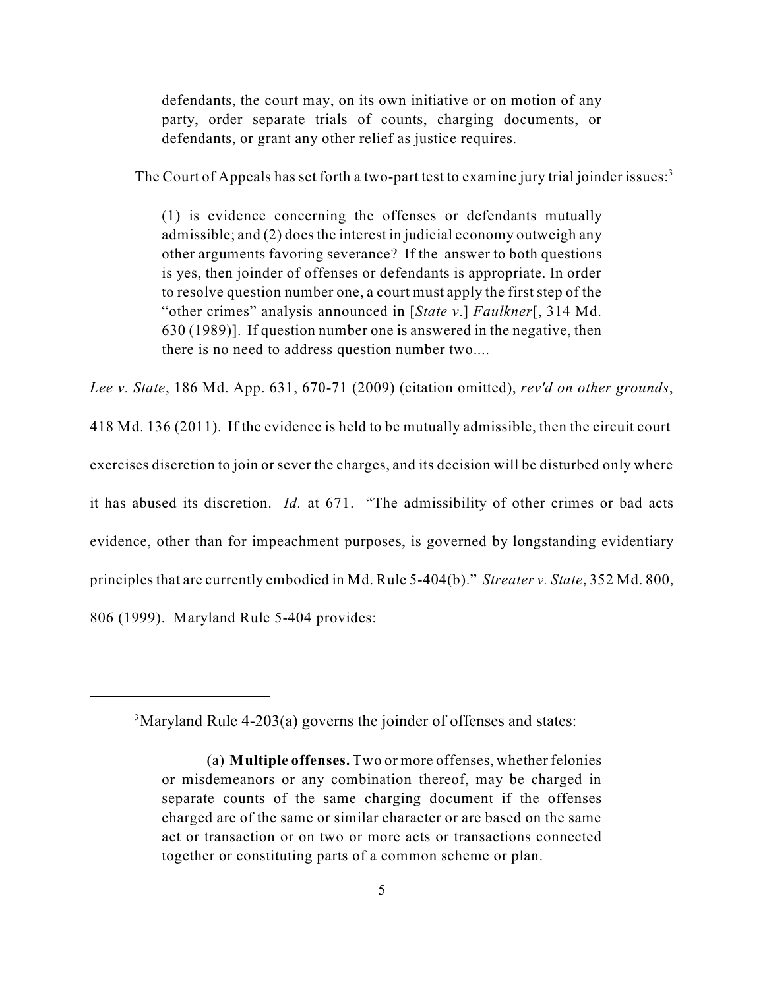defendants, the court may, on its own initiative or on motion of any party, order separate trials of counts, charging documents, or defendants, or grant any other relief as justice requires.

The Court of Appeals has set forth a two-part test to examine jury trial joinder issues:<sup>3</sup>

(1) is evidence concerning the offenses or defendants mutually admissible; and (2) does the interest in judicial economy outweigh any other arguments favoring severance? If the answer to both questions is yes, then joinder of offenses or defendants is appropriate. In order to resolve question number one, a court must apply the first step of the "other crimes" analysis announced in [*State v*.] *Faulkner*[, 314 Md. 630 (1989)]. If question number one is answered in the negative, then there is no need to address question number two....

*Lee v. State*, 186 Md. App. 631, 670-71 (2009) (citation omitted), *rev'd on other grounds*, 418 Md. 136 (2011). If the evidence is held to be mutually admissible, then the circuit court exercises discretion to join or sever the charges, and its decision will be disturbed only where it has abused its discretion. *Id.* at 671. "The admissibility of other crimes or bad acts evidence, other than for impeachment purposes, is governed by longstanding evidentiary principles that are currently embodied in Md. Rule 5-404(b)." *Streater v. State*, 352 Md. 800, 806 (1999). Maryland Rule 5-404 provides:

 $3$ Maryland Rule 4-203(a) governs the joinder of offenses and states:

<sup>(</sup>a) **Multiple offenses.** Two or more offenses, whether felonies or misdemeanors or any combination thereof, may be charged in separate counts of the same charging document if the offenses charged are of the same or similar character or are based on the same act or transaction or on two or more acts or transactions connected together or constituting parts of a common scheme or plan.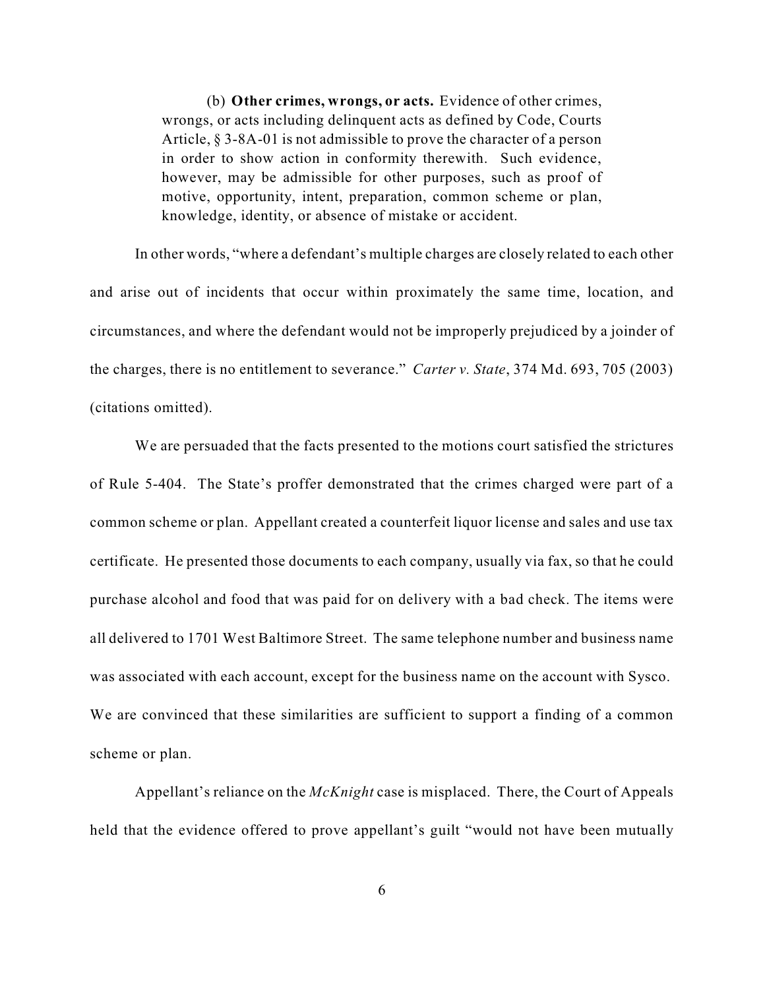(b) **Other crimes, wrongs, or acts.** Evidence of other crimes, wrongs, or acts including delinquent acts as defined by Code, Courts Article, § 3-8A-01 is not admissible to prove the character of a person in order to show action in conformity therewith. Such evidence, however, may be admissible for other purposes, such as proof of motive, opportunity, intent, preparation, common scheme or plan, knowledge, identity, or absence of mistake or accident.

In other words, "where a defendant's multiple charges are closely related to each other and arise out of incidents that occur within proximately the same time, location, and circumstances, and where the defendant would not be improperly prejudiced by a joinder of the charges, there is no entitlement to severance." *Carter v. State*, 374 Md. 693, 705 (2003) (citations omitted).

We are persuaded that the facts presented to the motions court satisfied the strictures of Rule 5-404. The State's proffer demonstrated that the crimes charged were part of a common scheme or plan. Appellant created a counterfeit liquor license and sales and use tax certificate. He presented those documents to each company, usually via fax, so that he could purchase alcohol and food that was paid for on delivery with a bad check. The items were all delivered to 1701 West Baltimore Street. The same telephone number and business name was associated with each account, except for the business name on the account with Sysco. We are convinced that these similarities are sufficient to support a finding of a common scheme or plan.

Appellant's reliance on the *McKnight* case is misplaced. There, the Court of Appeals held that the evidence offered to prove appellant's guilt "would not have been mutually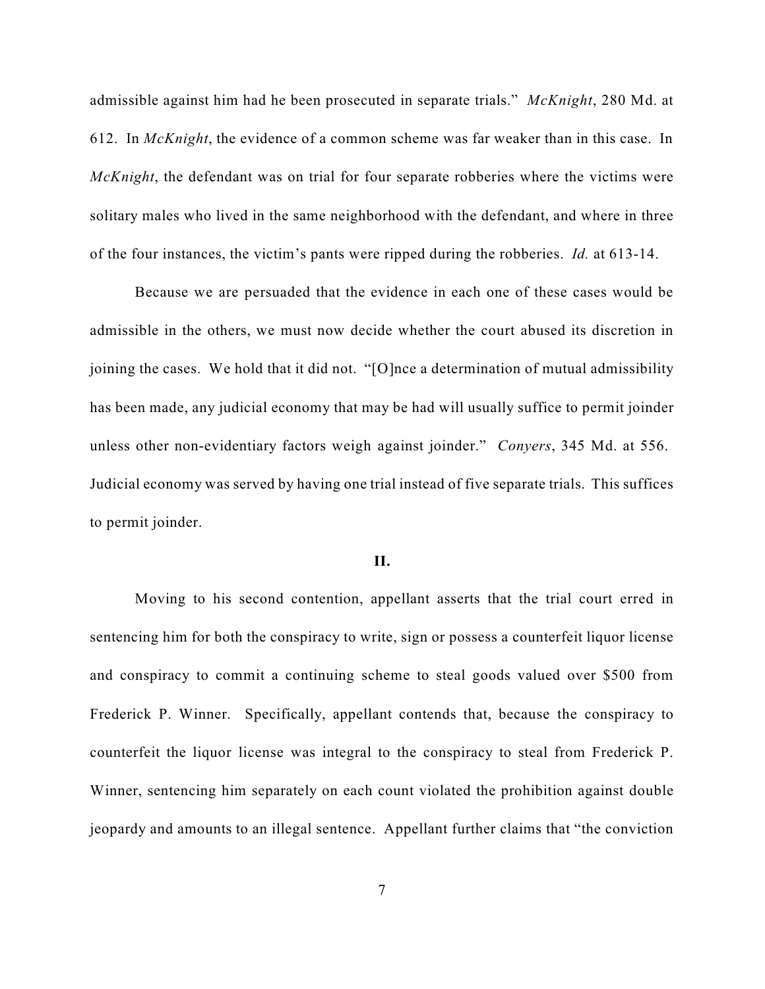admissible against him had he been prosecuted in separate trials." *McKnight*, 280 Md. at 612. In *McKnight*, the evidence of a common scheme was far weaker than in this case. In *McKnight*, the defendant was on trial for four separate robberies where the victims were solitary males who lived in the same neighborhood with the defendant, and where in three of the four instances, the victim's pants were ripped during the robberies. *Id.* at 613-14.

Because we are persuaded that the evidence in each one of these cases would be admissible in the others, we must now decide whether the court abused its discretion in joining the cases. We hold that it did not. "[O]nce a determination of mutual admissibility has been made, any judicial economy that may be had will usually suffice to permit joinder unless other non-evidentiary factors weigh against joinder." *Conyers*, 345 Md. at 556. Judicial economy was served by having one trial instead of five separate trials. This suffices to permit joinder.

#### **II.**

Moving to his second contention, appellant asserts that the trial court erred in sentencing him for both the conspiracy to write, sign or possess a counterfeit liquor license and conspiracy to commit a continuing scheme to steal goods valued over \$500 from Frederick P. Winner. Specifically, appellant contends that, because the conspiracy to counterfeit the liquor license was integral to the conspiracy to steal from Frederick P. Winner, sentencing him separately on each count violated the prohibition against double jeopardy and amounts to an illegal sentence. Appellant further claims that "the conviction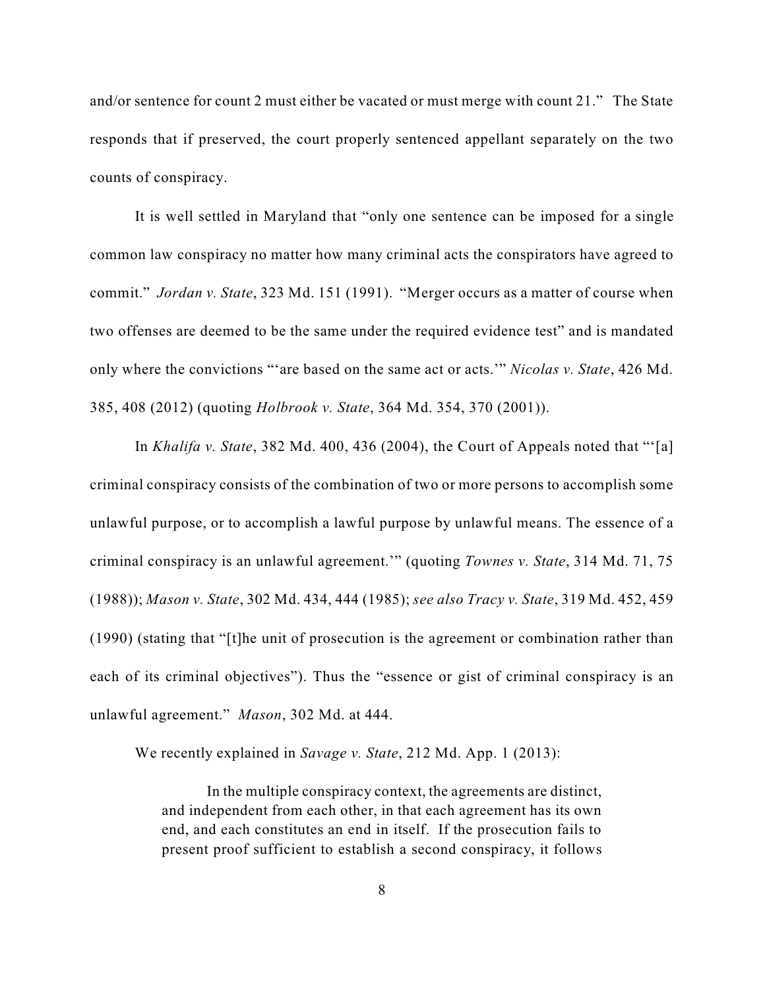and/or sentence for count 2 must either be vacated or must merge with count 21." The State responds that if preserved, the court properly sentenced appellant separately on the two counts of conspiracy.

It is well settled in Maryland that "only one sentence can be imposed for a single common law conspiracy no matter how many criminal acts the conspirators have agreed to commit." *Jordan v. State*, 323 Md. 151 (1991). "Merger occurs as a matter of course when two offenses are deemed to be the same under the required evidence test" and is mandated only where the convictions "'are based on the same act or acts.'" *Nicolas v. State*, 426 Md. 385, 408 (2012) (quoting *Holbrook v. State*, 364 Md. 354, 370 (2001)).

In *Khalifa v. State*, 382 Md. 400, 436 (2004), the Court of Appeals noted that "'[a] criminal conspiracy consists of the combination of two or more persons to accomplish some unlawful purpose, or to accomplish a lawful purpose by unlawful means. The essence of a criminal conspiracy is an unlawful agreement.'" (quoting *Townes v. State*, 314 Md. 71, 75 (1988)); *Mason v. State*, 302 Md. 434, 444 (1985); *see also Tracy v. State*, 319 Md. 452, 459 (1990) (stating that "[t]he unit of prosecution is the agreement or combination rather than each of its criminal objectives"). Thus the "essence or gist of criminal conspiracy is an unlawful agreement." *Mason*, 302 Md. at 444.

We recently explained in *Savage v. State*, 212 Md. App. 1 (2013):

In the multiple conspiracy context, the agreements are distinct, and independent from each other, in that each agreement has its own end, and each constitutes an end in itself. If the prosecution fails to present proof sufficient to establish a second conspiracy, it follows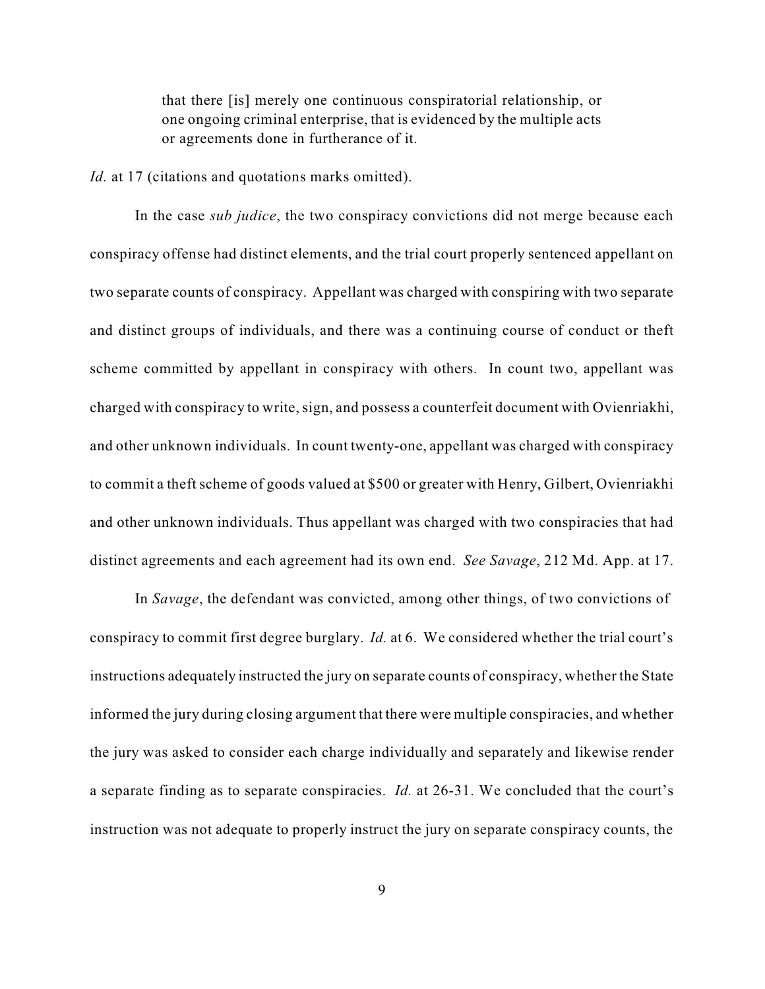that there [is] merely one continuous conspiratorial relationship, or one ongoing criminal enterprise, that is evidenced by the multiple acts or agreements done in furtherance of it.

*Id.* at 17 (citations and quotations marks omitted).

In the case *sub judice*, the two conspiracy convictions did not merge because each conspiracy offense had distinct elements, and the trial court properly sentenced appellant on two separate counts of conspiracy. Appellant was charged with conspiring with two separate and distinct groups of individuals, and there was a continuing course of conduct or theft scheme committed by appellant in conspiracy with others. In count two, appellant was charged with conspiracy to write, sign, and possess a counterfeit document with Ovienriakhi, and other unknown individuals. In count twenty-one, appellant was charged with conspiracy to commit a theft scheme of goods valued at \$500 or greater with Henry, Gilbert, Ovienriakhi and other unknown individuals. Thus appellant was charged with two conspiracies that had distinct agreements and each agreement had its own end. *See Savage*, 212 Md. App. at 17.

In *Savage*, the defendant was convicted, among other things, of two convictions of conspiracy to commit first degree burglary. *Id.* at 6. We considered whether the trial court's instructions adequately instructed the jury on separate counts of conspiracy, whether the State informed the jury during closing argument that there were multiple conspiracies, and whether the jury was asked to consider each charge individually and separately and likewise render a separate finding as to separate conspiracies. *Id.* at 26-31. We concluded that the court's instruction was not adequate to properly instruct the jury on separate conspiracy counts, the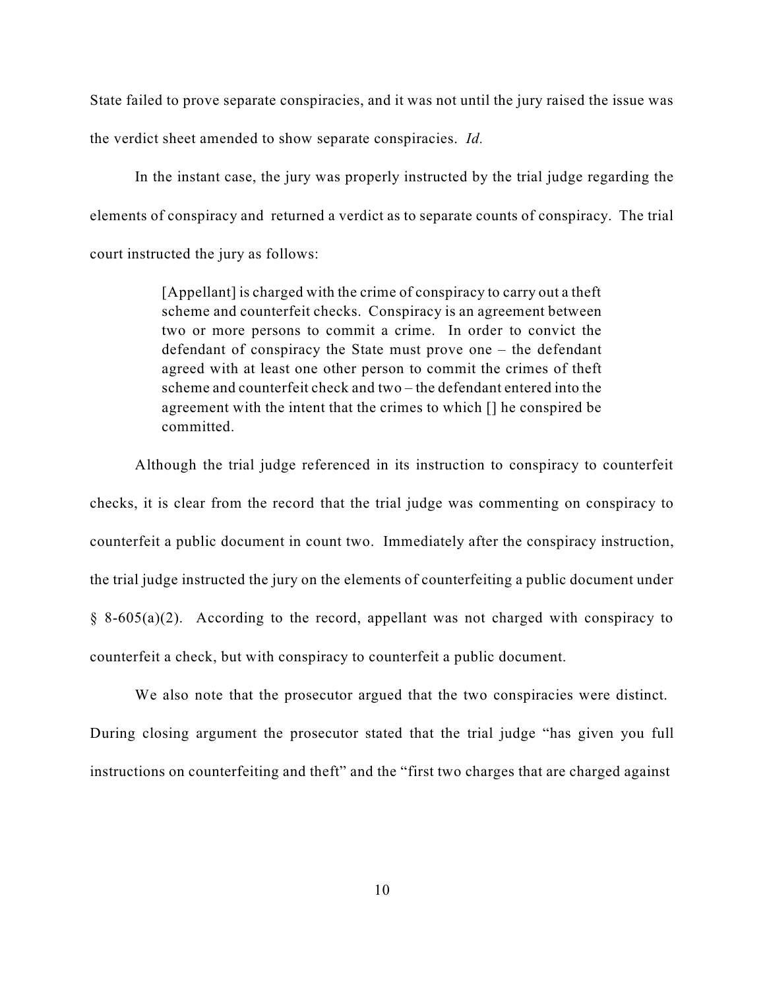State failed to prove separate conspiracies, and it was not until the jury raised the issue was the verdict sheet amended to show separate conspiracies. *Id.*

In the instant case, the jury was properly instructed by the trial judge regarding the elements of conspiracy and returned a verdict as to separate counts of conspiracy. The trial court instructed the jury as follows:

> [Appellant] is charged with the crime of conspiracy to carry out a theft scheme and counterfeit checks. Conspiracy is an agreement between two or more persons to commit a crime. In order to convict the defendant of conspiracy the State must prove one – the defendant agreed with at least one other person to commit the crimes of theft scheme and counterfeit check and two – the defendant entered into the agreement with the intent that the crimes to which [] he conspired be committed.

Although the trial judge referenced in its instruction to conspiracy to counterfeit checks, it is clear from the record that the trial judge was commenting on conspiracy to counterfeit a public document in count two. Immediately after the conspiracy instruction, the trial judge instructed the jury on the elements of counterfeiting a public document under  $§ 8-605(a)(2)$ . According to the record, appellant was not charged with conspiracy to counterfeit a check, but with conspiracy to counterfeit a public document.

We also note that the prosecutor argued that the two conspiracies were distinct. During closing argument the prosecutor stated that the trial judge "has given you full instructions on counterfeiting and theft" and the "first two charges that are charged against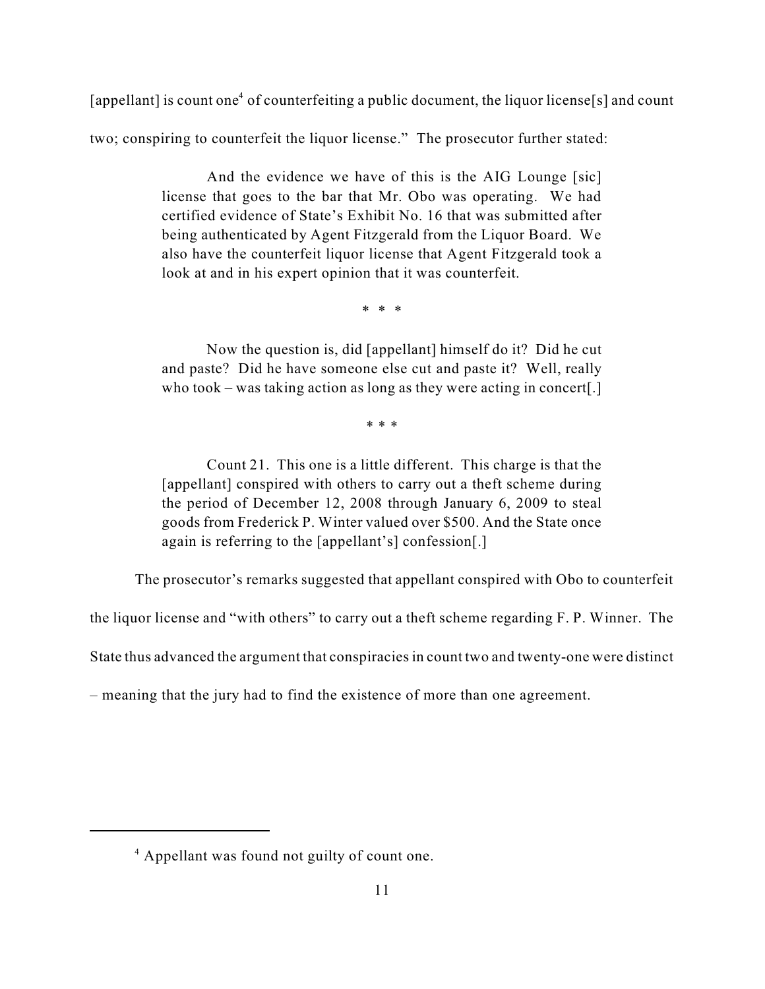[appellant] is count one<sup>4</sup> of counterfeiting a public document, the liquor license[s] and count

two; conspiring to counterfeit the liquor license." The prosecutor further stated:

And the evidence we have of this is the AIG Lounge [sic] license that goes to the bar that Mr. Obo was operating. We had certified evidence of State's Exhibit No. 16 that was submitted after being authenticated by Agent Fitzgerald from the Liquor Board. We also have the counterfeit liquor license that Agent Fitzgerald took a look at and in his expert opinion that it was counterfeit.

\* \* \*

Now the question is, did [appellant] himself do it? Did he cut and paste? Did he have someone else cut and paste it? Well, really who took – was taking action as long as they were acting in concert[.]

\* \* \*

Count 21. This one is a little different. This charge is that the [appellant] conspired with others to carry out a theft scheme during the period of December 12, 2008 through January 6, 2009 to steal goods from Frederick P. Winter valued over \$500. And the State once again is referring to the [appellant's] confession[.]

The prosecutor's remarks suggested that appellant conspired with Obo to counterfeit

the liquor license and "with others" to carry out a theft scheme regarding F. P. Winner. The

State thus advanced the argument that conspiracies in count two and twenty-one were distinct

– meaning that the jury had to find the existence of more than one agreement.

<sup>&</sup>lt;sup>4</sup> Appellant was found not guilty of count one.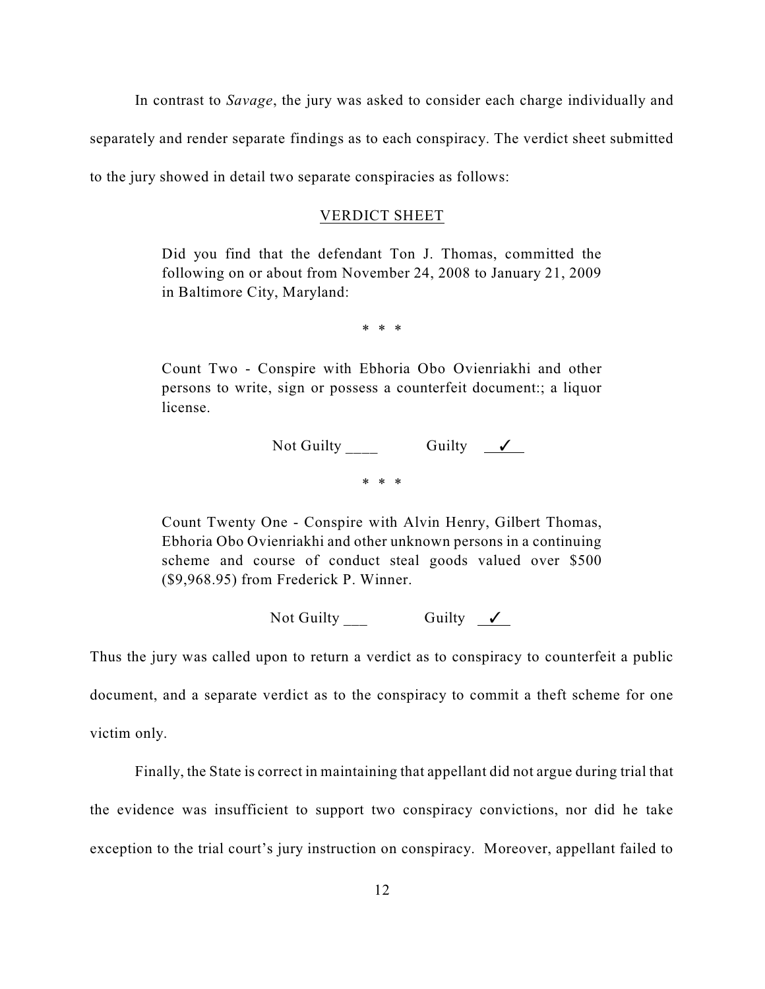In contrast to *Savage*, the jury was asked to consider each charge individually and separately and render separate findings as to each conspiracy. The verdict sheet submitted to the jury showed in detail two separate conspiracies as follows:

#### VERDICT SHEET

Did you find that the defendant Ton J. Thomas, committed the following on or about from November 24, 2008 to January 21, 2009 in Baltimore City, Maryland:

\* \* \*

Count Two - Conspire with Ebhoria Obo Ovienriakhi and other persons to write, sign or possess a counterfeit document:; a liquor license.

> Not Guilty \_\_\_\_ Guilty T \* \* \*

Count Twenty One - Conspire with Alvin Henry, Gilbert Thomas, Ebhoria Obo Ovienriakhi and other unknown persons in a continuing scheme and course of conduct steal goods valued over \$500 (\$9,968.95) from Frederick P. Winner.

Not Guilty  $\frac{\ }{\ }$  Guilty  $\frac{\ }{\ }$ 

Thus the jury was called upon to return a verdict as to conspiracy to counterfeit a public document, and a separate verdict as to the conspiracy to commit a theft scheme for one victim only.

Finally, the State is correct in maintaining that appellant did not argue during trial that the evidence was insufficient to support two conspiracy convictions, nor did he take exception to the trial court's jury instruction on conspiracy. Moreover, appellant failed to